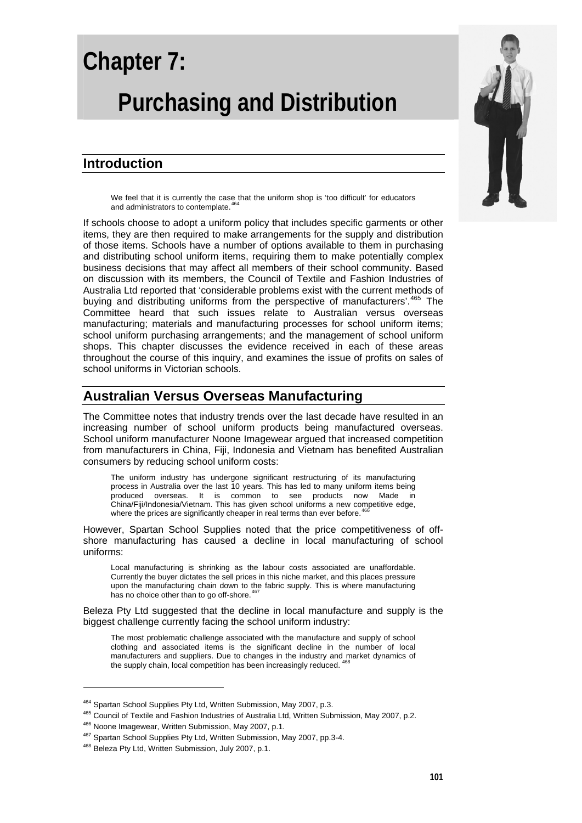# **Chapter 7: Purchasing and Distribution**

# **Introduction**

We feel that it is currently the case that the uniform shop is 'too difficult' for educators and administrators to contemplate.<sup>[464](#page-0-0)</sup>

If schools choose to adopt a uniform policy that includes specific garments or other items, they are then required to make arrangements for the supply and distribution of those items. Schools have a number of options available to them in purchasing and distributing school uniform items, requiring them to make potentially complex business decisions that may affect all members of their school community. Based on discussion with its members, the Council of Textile and Fashion Industries of Australia Ltd reported that 'considerable problems exist with the current methods of buying and distributing uniforms from the perspective of manufacturers'.<sup>[465](#page-0-1)</sup> The Committee heard that such issues relate to Australian versus overseas manufacturing; materials and manufacturing processes for school uniform items; school uniform purchasing arrangements; and the management of school uniform shops. This chapter discusses the evidence received in each of these areas throughout the course of this inquiry, and examines the issue of profits on sales of school uniforms in Victorian schools.

## **Australian Versus Overseas Manufacturing**

The Committee notes that industry trends over the last decade have resulted in an increasing number of school uniform products being manufactured overseas. School uniform manufacturer Noone Imagewear argued that increased competition from manufacturers in China, Fiji, Indonesia and Vietnam has benefited Australian consumers by reducing school uniform costs:

The uniform industry has undergone significant restructuring of its manufacturing process in Australia over the last 10 years. This has led to many uniform items being produced overseas. It is common to see products now Made in China/Fiji/Indonesia/Vietnam. This has given school uniforms a new competitive edge, where the prices are significantly cheaper in real terms than ever before.<sup>4</sup>

However, Spartan School Supplies noted that the price competitiveness of offshore manufacturing has caused a decline in local manufacturing of school uniforms:

Local manufacturing is shrinking as the labour costs associated are unaffordable. Currently the buyer dictates the sell prices in this niche market, and this places pressure upon the manufacturing chain down to the fabric supply. This is where manufacturing has no choice other than to go off-shore.<sup>46</sup>

Beleza Pty Ltd suggested that the decline in local manufacture and supply is the biggest challenge currently facing the school uniform industry:

The most problematic challenge associated with the manufacture and supply of school clothing and associated items is the significant decline in the number of local manufacturers and suppliers. Due to changes in the industry and market dynamics of the supply chain, local competition has been increasingly reduced.



<span id="page-0-1"></span><span id="page-0-0"></span><sup>&</sup>lt;sup>464</sup> Spartan School Supplies Pty Ltd, Written Submission, May 2007, p.3.<br><sup>465</sup> Council of Textile and Fashion Industries of Australia Ltd, Written Submission, May 2007, p.2.<br><sup>466</sup> Noone Imagewear, Written Submission, May

<span id="page-0-2"></span>

<span id="page-0-3"></span>

<span id="page-0-4"></span>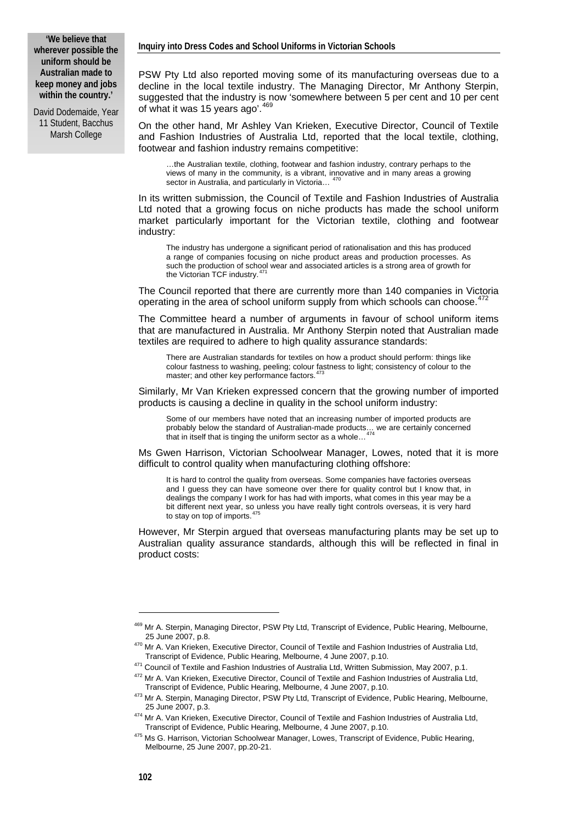**'We believe that wherever possible the uniform should be Australian made to keep money and jobs within the country.'** 

David Dodemaide, Year 11 Student, Bacchus Marsh College

PSW Pty Ltd also reported moving some of its manufacturing overseas due to a decline in the local textile industry. The Managing Director, Mr Anthony Sterpin, suggested that the industry is now 'somewhere between 5 per cent and 10 per cent of what it was 15 years ago'.<sup>[469](#page-1-0)</sup>

On the other hand, Mr Ashley Van Krieken, Executive Director, Council of Textile and Fashion Industries of Australia Ltd, reported that the local textile, clothing, footwear and fashion industry remains competitive:

…the Australian textile, clothing, footwear and fashion industry, contrary perhaps to the views of many in the community, is a vibrant, innovative and in many areas a growing sector in Australia, and particularly in Victoria...

In its written submission, the Council of Textile and Fashion Industries of Australia Ltd noted that a growing focus on niche products has made the school uniform market particularly important for the Victorian textile, clothing and footwear industry:

The industry has undergone a significant period of rationalisation and this has produced a range of companies focusing on niche product areas and production processes. As such the production of school wear and associated articles is a strong area of growth for the Victorian TCF industry.

The Council reported that there are currently more than 140 companies in Victoria operating in the area of school uniform supply from which schools can choose.<sup>[472](#page-1-3)</sup>

The Committee heard a number of arguments in favour of school uniform items that are manufactured in Australia. Mr Anthony Sterpin noted that Australian made textiles are required to adhere to high quality assurance standards:

There are Australian standards for textiles on how a product should perform: things like colour fastness to washing, peeling; colour fastness to light; consistency of colour to the master; and other key performance factors.<sup>[473](#page-1-4)</sup>

Similarly, Mr Van Krieken expressed concern that the growing number of imported products is causing a decline in quality in the school uniform industry:

Some of our members have noted that an increasing number of imported products are probably below the standard of Australian-made products... we are certainly concerned that in itself that is tinging the uniform sector as a whole...

Ms Gwen Harrison, Victorian Schoolwear Manager, Lowes, noted that it is more difficult to control quality when manufacturing clothing offshore:

It is hard to control the quality from overseas. Some companies have factories overseas and I guess they can have someone over there for quality control but I know that, in dealings the company I work for has had with imports, what comes in this year may be a bit different next year, so unless you have really tight controls overseas, it is very hard to stay on top of imports.<sup>4</sup>

However, Mr Sterpin argued that overseas manufacturing plants may be set up to Australian quality assurance standards, although this will be reflected in final in product costs:

<span id="page-1-0"></span><sup>&</sup>lt;sup>469</sup> Mr A. Sterpin, Managing Director, PSW Pty Ltd, Transcript of Evidence, Public Hearing, Melbourne,<br>25 June 2007, p.8.

<span id="page-1-1"></span><sup>&</sup>lt;sup>470</sup> Mr A. Van Krieken, Executive Director, Council of Textile and Fashion Industries of Australia Ltd,<br>Transcript of Evidence, Public Hearing, Melbourne, 4 June 2007, p.10.

<span id="page-1-3"></span><span id="page-1-2"></span> $^{471}$  Council of Textile and Fashion Industries of Australia Ltd, Written Submission, May 2007, p.1.<br><sup>472</sup> Mr A. Van Krieken, Executive Director, Council of Textile and Fashion Industries of Australia Ltd,<br>Transcript of

<span id="page-1-4"></span><sup>&</sup>lt;sup>473</sup> Mr A. Sterpin, Managing Director, PSW Pty Ltd, Transcript of Evidence, Public Hearing, Melbourne,

<sup>25</sup> June 2007, p.3.<br><sup>474</sup> Mr A. Van Krieken, Executive Director, Council of Textile and Fashion Industries of Australia Ltd,<br>Transcript of Evidence, Public Hearing, Melbourne, 4 June 2007, p.10.

<span id="page-1-6"></span><span id="page-1-5"></span><sup>&</sup>lt;sup>475</sup> Ms G. Harrison, Victorian Schoolwear Manager, Lowes, Transcript of Evidence, Public Hearing, Melbourne, 25 June 2007, pp.20-21.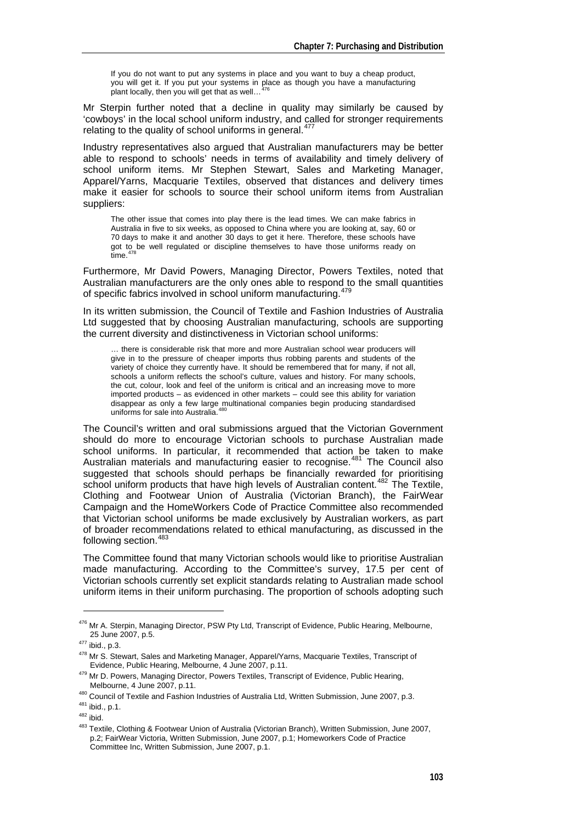If you do not want to put any systems in place and you want to buy a cheap product, you will get it. If you put your systems in place as though you have a manufacturing plant locally, then you will get that as well...

Mr Sterpin further noted that a decline in quality may similarly be caused by 'cowboys' in the local school uniform industry, and called for stronger requirements relating to the quality of school uniforms in general.<sup>[477](#page-2-1)</sup>

Industry representatives also argued that Australian manufacturers may be better able to respond to schools' needs in terms of availability and timely delivery of school uniform items. Mr Stephen Stewart, Sales and Marketing Manager, Apparel/Yarns, Macquarie Textiles, observed that distances and delivery times make it easier for schools to source their school uniform items from Australian suppliers:

The other issue that comes into play there is the lead times. We can make fabrics in Australia in five to six weeks, as opposed to China where you are looking at, say, 60 or 70 days to make it and another 30 days to get it here. Therefore, these schools have got to be well regulated or discipline themselves to have those uniforms ready on time  $478$ 

Furthermore, Mr David Powers, Managing Director, Powers Textiles, noted that Australian manufacturers are the only ones able to respond to the small quantities of specific fabrics involved in school uniform manufacturing.<sup>[479](#page-2-3)</sup>

In its written submission, the Council of Textile and Fashion Industries of Australia Ltd suggested that by choosing Australian manufacturing, schools are supporting the current diversity and distinctiveness in Victorian school uniforms:

… there is considerable risk that more and more Australian school wear producers will give in to the pressure of cheaper imports thus robbing parents and students of the variety of choice they currently have. It should be remembered that for many, if not all, schools a uniform reflects the school's culture, values and history. For many schools, the cut, colour, look and feel of the uniform is critical and an increasing move to more imported products – as evidenced in other markets – could see this ability for variation disappear as only a few large multinational companies begin producing standardised<br>uniforms for sale into Australia.<sup>[480](#page-2-4)</sup>

The Council's written and oral submissions argued that the Victorian Government should do more to encourage Victorian schools to purchase Australian made school uniforms. In particular, it recommended that action be taken to make Australian materials and manufacturing easier to recognise.<sup>[481](#page-2-5)</sup> The Council also suggested that schools should perhaps be financially rewarded for prioritising school uniform products that have high levels of Australian content.<sup>[482](#page-2-6)</sup> The Textile. Clothing and Footwear Union of Australia (Victorian Branch), the FairWear Campaign and the HomeWorkers Code of Practice Committee also recommended that Victorian school uniforms be made exclusively by Australian workers, as part of broader recommendations related to ethical manufacturing, as discussed in the following section.<sup>[483](#page-2-7)</sup>

The Committee found that many Victorian schools would like to prioritise Australian made manufacturing. According to the Committee's survey, 17.5 per cent of Victorian schools currently set explicit standards relating to Australian made school uniform items in their uniform purchasing. The proportion of schools adopting such

<span id="page-2-0"></span><sup>&</sup>lt;sup>476</sup> Mr A. Sterpin, Managing Director, PSW Pty Ltd, Transcript of Evidence, Public Hearing, Melbourne, 25 June 2007, p.5.

<span id="page-2-1"></span><sup>25</sup> June 2007, p.3.<br><sup>477</sup> ibid., p.3.<br><sup>478</sup> Mr S. Stewart, Sales and Marketing Manager, Apparel/Yarns, Macquarie Textiles, Transcript of

<span id="page-2-2"></span>Evidence, Public Hearing, Melbourne, 4 June 2007, p.11.<br><sup>479</sup> Mr D. Powers, Managing Director, Powers Textiles, Transcript of Evidence, Public Hearing,

<span id="page-2-5"></span>

<span id="page-2-7"></span><span id="page-2-6"></span>

<span id="page-2-4"></span><span id="page-2-3"></span>Melbourne, 4 June 2007, p.11.<br>
<sup>480</sup> Council of Textile and Fashion Industries of Australia Ltd, Written Submission, June 2007, p.3.<br>
<sup>481</sup> ibid., p.1.<br>
<sup>482</sup> ibid.<br>
<sup>482</sup> Textile, Clothing & Footwear Union of Australia (V p.2; FairWear Victoria, Written Submission, June 2007, p.1; Homeworkers Code of Practice Committee Inc, Written Submission, June 2007, p.1.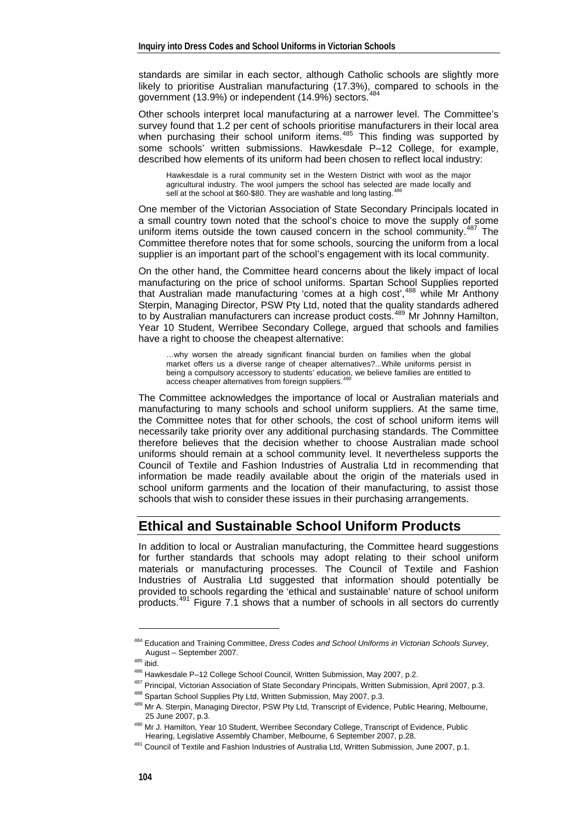standards are similar in each sector, although Catholic schools are slightly more likely to prioritise Australian manufacturing (17.3%), compared to schools in the sourcement (12.0%) as independent (14.0%) acctors  $484$ government (13.9%) or independent (14.9%) sectors.

Other schools interpret local manufacturing at a narrower level. The Committee's survey found that 1.2 per cent of schools prioritise manufacturers in their local area when purchasing their school uniform items.<sup>[485](#page-3-1)</sup> This finding was supported by some schools' written submissions. Hawkesdale P–12 College, for example, described how elements of its uniform had been chosen to reflect local industry:

Hawkesdale is a rural community set in the Western District with wool as the major agricultural industry. The wool jumpers the school has selected are made locally and sell at the school at \$60-\$80. They are washable and long lasting.

One member of the Victorian Association of State Secondary Principals located in a small country town noted that the school's choice to move the supply of some uniform items outside the town caused concern in the school community.<sup>[487](#page-3-3)</sup> The Committee therefore notes that for some schools, sourcing the uniform from a local supplier is an important part of the school's engagement with its local community.

On the other hand, the Committee heard concerns about the likely impact of local manufacturing on the price of school uniforms. Spartan School Supplies reported that Australian made manufacturing 'comes at a high cost',[488](#page-3-4) while Mr Anthony Sterpin, Managing Director, PSW Pty Ltd, noted that the quality standards adhered to by Australian manufacturers can increase product costs.[489](#page-3-5) Mr Johnny Hamilton, Year 10 Student, Werribee Secondary College, argued that schools and families have a right to choose the cheapest alternative:

…why worsen the already significant financial burden on families when the global market offers us a diverse range of cheaper alternatives?...While uniforms persist in being a compulsory accessory to students' education, we believe families are entitled to access cheaper alternatives from foreign suppliers.<sup>49</sup>

The Committee acknowledges the importance of local or Australian materials and manufacturing to many schools and school uniform suppliers. At the same time, the Committee notes that for other schools, the cost of school uniform items will necessarily take priority over any additional purchasing standards. The Committee therefore believes that the decision whether to choose Australian made school uniforms should remain at a school community level. It nevertheless supports the Council of Textile and Fashion Industries of Australia Ltd in recommending that information be made readily available about the origin of the materials used in school uniform garments and the location of their manufacturing, to assist those schools that wish to consider these issues in their purchasing arrangements.

### **Ethical and Sustainable School Uniform Products**

In addition to local or Australian manufacturing, the Committee heard suggestions for further standards that schools may adopt relating to their school uniform materials or manufacturing processes. The Council of Textile and Fashion Industries of Australia Ltd suggested that information should potentially be provided to schools regarding the 'ethical and sustainable' nature of school uniform products.[491](#page-3-7) Figure 7.1 shows that a number of schools in all sectors do currently

<sup>484</sup> Education and Training Committee, *Dress Codes and School Uniforms in Victorian Schools Survey*,

<span id="page-3-4"></span><span id="page-3-3"></span><span id="page-3-2"></span>

<span id="page-3-1"></span><span id="page-3-0"></span>August – September 2007.<br>
<sup>485</sup> ibid.<br>
<sup>486</sup> Hawkesdale P–12 College School Council, Written Submission, May 2007, p.2.<br>
<sup>487</sup> Principal, Victorian Association of State Secondary Principals, Written Submission, April 2007, 25 June 2007, p.3. 490 Mr J. Hamilton, Year 10 Student, Werribee Secondary College, Transcript of Evidence, Public

<span id="page-3-7"></span><span id="page-3-6"></span><span id="page-3-5"></span>Hearing, Legislative Assembly Chamber, Melbourne, 6 September 2007, p.28.<br><sup>491</sup> Council of Textile and Fashion Industries of Australia Ltd, Written Submission, June 2007, p.1.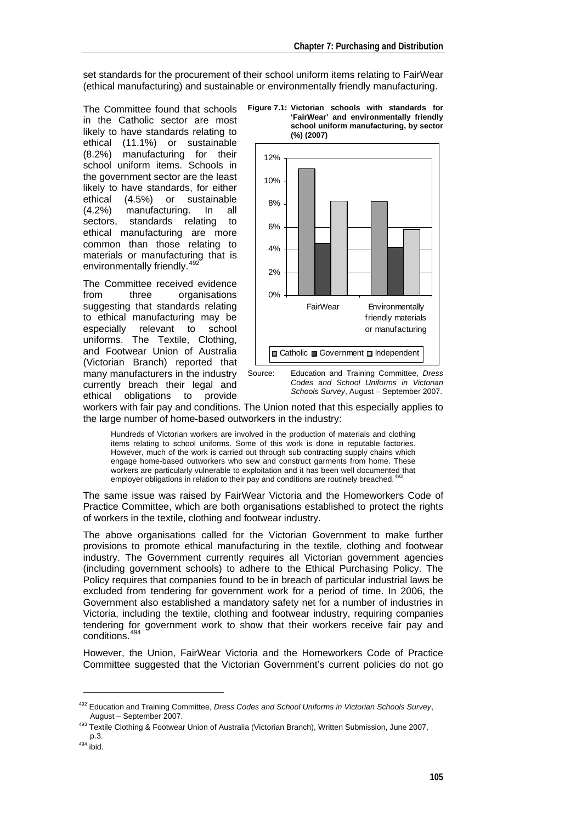set standards for the procurement of their school uniform items relating to FairWear (ethical manufacturing) and sustainable or environmentally friendly manufacturing.

The Committee found that schools in the Catholic sector are most likely to have standards relating to ethical (11.1%) or sustainable (8.2%) manufacturing for their school uniform items. Schools in the government sector are the least likely to have standards, for either<br>ethical (4.5%) or sustainable ethical  $(4.5%)$  or (4.2%) manufacturing. In all sectors, standards relating to ethical manufacturing are more common than those relating to materials or manufacturing that is environmentally friendly.<sup>[492](#page-4-0)</sup>

The Committee received evidence from three organisations suggesting that standards relating to ethical manufacturing may be especially relevant to school uniforms. The Textile, Clothing, and Footwear Union of Australia (Victorian Branch) reported that many manufacturers in the industry currently breach their legal and ethical obligations to provide





*Codes and School Uniforms in Victorian Schools Survey*, August – September 2007.

workers with fair pay and conditions. The Union noted that this especially applies to the large number of home-based outworkers in the industry:

Hundreds of Victorian workers are involved in the production of materials and clothing items relating to school uniforms. Some of this work is done in reputable factories. However, much of the work is carried out through sub contracting supply chains which engage home-based outworkers who sew and construct garments from home. These workers are particularly vulnerable to exploitation and it has been well documented that employer obligations in relation to their pay and conditions are routinely breached.<sup>4</sup>

The same issue was raised by FairWear Victoria and the Homeworkers Code of Practice Committee, which are both organisations established to protect the rights of workers in the textile, clothing and footwear industry.

The above organisations called for the Victorian Government to make further provisions to promote ethical manufacturing in the textile, clothing and footwear industry. The Government currently requires all Victorian government agencies (including government schools) to adhere to the Ethical Purchasing Policy. The Policy requires that companies found to be in breach of particular industrial laws be excluded from tendering for government work for a period of time. In 2006, the Government also established a mandatory safety net for a number of industries in Victoria, including the textile, clothing and footwear industry, requiring companies tendering for government work to show that their workers receive fair pay and conditions.<sup>[494](#page-4-2)</sup>

However, the Union, FairWear Victoria and the Homeworkers Code of Practice Committee suggested that the Victorian Government's current policies do not go

<span id="page-4-0"></span><sup>492</sup> Education and Training Committee, *Dress Codes and School Uniforms in Victorian Schools Survey*,

August – September 2007.<br><sup>493</sup> Textile Clothing & Footwear Union of Australia (Victorian Branch), Written Submission, June 2007,<br>19.3.

<span id="page-4-2"></span><span id="page-4-1"></span> $494$  ibid.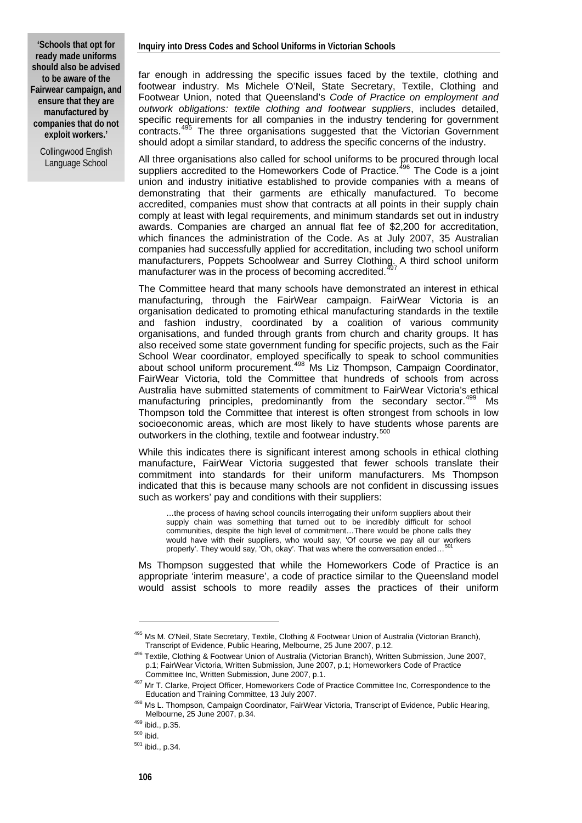**'Schools that opt for ready made uniforms should also be advised to be aware of the Fairwear campaign, and ensure that they are manufactured by companies that do not exploit workers.'** 

> Collingwood English Language School

far enough in addressing the specific issues faced by the textile, clothing and footwear industry. Ms Michele O'Neil, State Secretary, Textile, Clothing and Footwear Union, noted that Queensland's *Code of Practice on employment and outwork obligations: textile clothing and footwear suppliers*, includes detailed, specific requirements for all companies in the industry tendering for government contracts.<sup>[495](#page-5-0)</sup> The three organisations suggested that the Victorian Government should adopt a similar standard, to address the specific concerns of the industry.

All three organisations also called for school uniforms to be procured through local suppliers accredited to the Homeworkers Code of Practice.<sup>[496](#page-5-1)</sup> The Code is a joint union and industry initiative established to provide companies with a means of demonstrating that their garments are ethically manufactured. To become accredited, companies must show that contracts at all points in their supply chain comply at least with legal requirements, and minimum standards set out in industry awards. Companies are charged an annual flat fee of \$2,200 for accreditation, which finances the administration of the Code. As at July 2007, 35 Australian companies had successfully applied for accreditation, including two school uniform manufacturers, Poppets Schoolwear and Surrey Clothing. A third school uniform manufacturer was in the process of becoming accredited.<sup>4</sup>

The Committee heard that many schools have demonstrated an interest in ethical manufacturing, through the FairWear campaign. FairWear Victoria is an organisation dedicated to promoting ethical manufacturing standards in the textile and fashion industry, coordinated by a coalition of various community organisations, and funded through grants from church and charity groups. It has also received some state government funding for specific projects, such as the Fair School Wear coordinator, employed specifically to speak to school communities about school uniform procurement.[498](#page-5-3) Ms Liz Thompson, Campaign Coordinator, FairWear Victoria, told the Committee that hundreds of schools from across Australia have submitted statements of commitment to FairWear Victoria's ethical manufacturing principles, predominantly from the secondary sector.<sup>[499](#page-5-4)</sup> Ms Thompson told the Committee that interest is often strongest from schools in low socioeconomic areas, which are most likely to have students whose parents are outworkers in the clothing, textile and footwear industry.<sup>[500](#page-5-5)</sup>

While this indicates there is significant interest among schools in ethical clothing manufacture, FairWear Victoria suggested that fewer schools translate their commitment into standards for their uniform manufacturers. Ms Thompson indicated that this is because many schools are not confident in discussing issues such as workers' pay and conditions with their suppliers:

…the process of having school councils interrogating their uniform suppliers about their supply chain was something that turned out to be incredibly difficult for school communities, despite the high level of commitment…There would be phone calls they would have with their suppliers, who would say, 'Of course we pay all our workers properly'. They would say, 'Oh, okay'. That was where the conversation ended...

Ms Thompson suggested that while the Homeworkers Code of Practice is an appropriate 'interim measure', a code of practice similar to the Queensland model would assist schools to more readily asses the practices of their uniform

<span id="page-5-0"></span><sup>&</sup>lt;sup>495</sup> Ms M. O'Neil, State Secretary, Textile, Clothing & Footwear Union of Australia (Victorian Branch),<br>Transcript of Evidence, Public Hearing, Melbourne, 25 June 2007, p.12.

<span id="page-5-1"></span><sup>&</sup>lt;sup>496</sup> Textile, Clothing & Footwear Union of Australia (Victorian Branch), Written Submission, June 2007, p.1; FairWear Victoria, Written Submission, June 2007, p.1; Homeworkers Code of Practice

Committee Inc, Written Submission, June 2007, p.1.<br><sup>497</sup> Mr T. Clarke, Project Officer, Homeworkers Code of Practice Committee Inc, Correspondence to the

<span id="page-5-3"></span><span id="page-5-2"></span>Education and Training Committee, 13 July 2007.<br><sup>498</sup> Ms L. Thompson, Campaign Coordinator, FairWear Victoria, Transcript of Evidence, Public Hearing, Melbourne, 25 June 2007, p.34.<br> $^{499}$  ibid., p.35.<br> $^{500}$  ibid.<br> $^{501}$  ibid., p.34.

<span id="page-5-4"></span>

<span id="page-5-6"></span><span id="page-5-5"></span>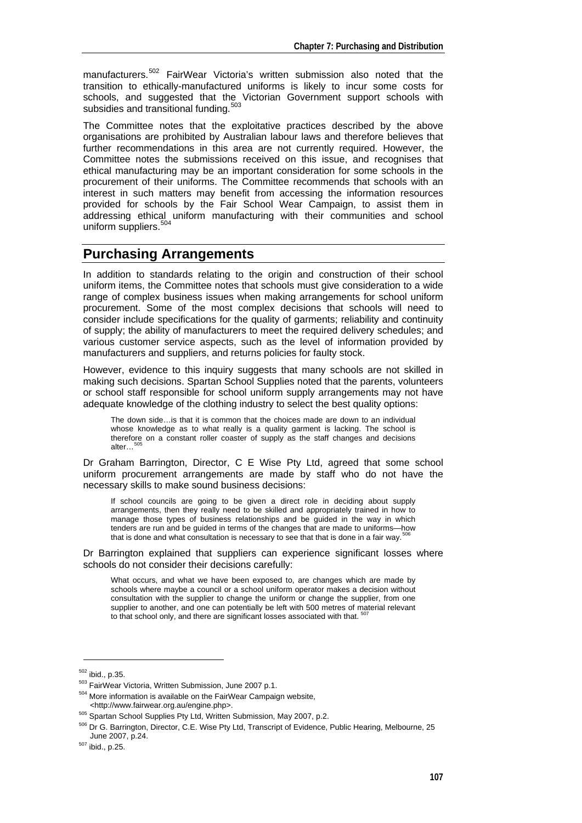manufacturers.<sup>[502](#page-6-0)</sup> FairWear Victoria's written submission also noted that the transition to ethically-manufactured uniforms is likely to incur some costs for schools, and suggested that the Victorian Government support schools with subsidies and transitional funding.<sup>[503](#page-6-1)</sup>

The Committee notes that the exploitative practices described by the above organisations are prohibited by Australian labour laws and therefore believes that further recommendations in this area are not currently required. However, the Committee notes the submissions received on this issue, and recognises that ethical manufacturing may be an important consideration for some schools in the procurement of their uniforms. The Committee recommends that schools with an interest in such matters may benefit from accessing the information resources provided for schools by the Fair School Wear Campaign, to assist them in addressing ethical uniform manufacturing with their communities and school uniform suppliers.<sup>[504](#page-6-2)</sup>

#### **Purchasing Arrangements**

In addition to standards relating to the origin and construction of their school uniform items, the Committee notes that schools must give consideration to a wide range of complex business issues when making arrangements for school uniform procurement. Some of the most complex decisions that schools will need to consider include specifications for the quality of garments; reliability and continuity of supply; the ability of manufacturers to meet the required delivery schedules; and various customer service aspects, such as the level of information provided by manufacturers and suppliers, and returns policies for faulty stock.

However, evidence to this inquiry suggests that many schools are not skilled in making such decisions. Spartan School Supplies noted that the parents, volunteers or school staff responsible for school uniform supply arrangements may not have adequate knowledge of the clothing industry to select the best quality options:

The down side…is that it is common that the choices made are down to an individual whose knowledge as to what really is a quality garment is lacking. The school is therefore on a constant roller coaster of supply as the staff changes and decisions alter…<sup>5</sup>

Dr Graham Barrington, Director, C E Wise Pty Ltd, agreed that some school uniform procurement arrangements are made by staff who do not have the necessary skills to make sound business decisions:

If school councils are going to be given a direct role in deciding about supply arrangements, then they really need to be skilled and appropriately trained in how to manage those types of business relationships and be quided in the way in which tenders are run and be guided in terms of the changes that are made to uniforms—how that is done and what consultation is necessary to see that that is done in a fair way.

Dr Barrington explained that suppliers can experience significant losses where schools do not consider their decisions carefully:

What occurs, and what we have been exposed to, are changes which are made by schools where maybe a council or a school uniform operator makes a decision without consultation with the supplier to change the uniform or change the supplier, from one supplier to another, and one can potentially be left with 500 metres of material relevant to that school only, and there are significant losses associated with that.

<span id="page-6-1"></span>

<span id="page-6-0"></span><sup>&</sup>lt;sup>502</sup> ibid., p.35.<br><sup>503</sup> FairWear Victoria, Written Submission, June 2007 p.1.<br><sup>504</sup> More information is available on the FairWear Campaign website,

<span id="page-6-3"></span>

<span id="page-6-2"></span><sup>&</sup>lt;http://www.fairwear.org.au/engine.php>. 505 Spartan School Supplies Pty Ltd, Written Submission, May 2007, p.2. 506 Dr G. Barrington, Director, C.E. Wise Pty Ltd, Transcript of Evidence, Public Hearing, Melbourne, 25

<span id="page-6-5"></span><span id="page-6-4"></span> $507$  ibid., p.25.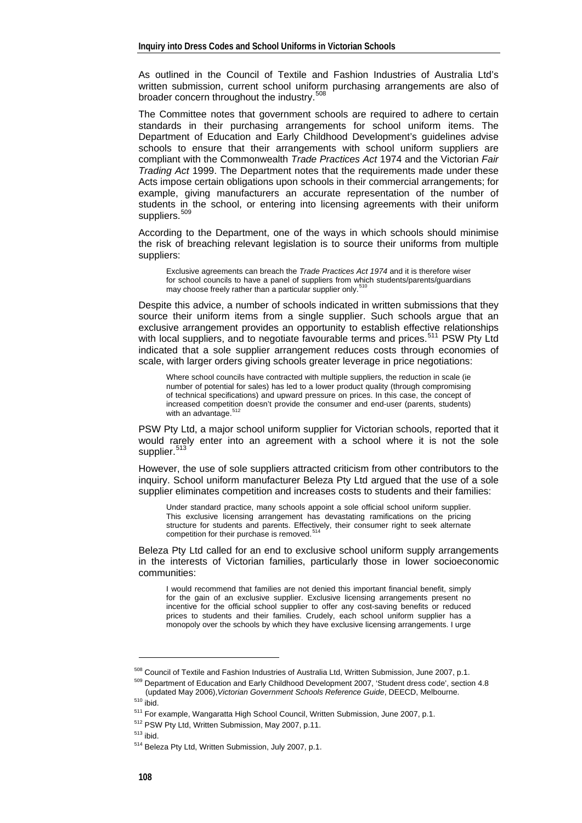As outlined in the Council of Textile and Fashion Industries of Australia Ltd's written submission, current school uniform purchasing arrangements are also of broader concern throughout the industry.<sup>[508](#page-7-0)</sup>

The Committee notes that government schools are required to adhere to certain standards in their purchasing arrangements for school uniform items. The Department of Education and Early Childhood Development's guidelines advise schools to ensure that their arrangements with school uniform suppliers are compliant with the Commonwealth *Trade Practices Act* 1974 and the Victorian *Fair Trading Act* 1999. The Department notes that the requirements made under these Acts impose certain obligations upon schools in their commercial arrangements; for example, giving manufacturers an accurate representation of the number of students in the school, or entering into licensing agreements with their uniform suppliers.

According to the Department, one of the ways in which schools should minimise the risk of breaching relevant legislation is to source their uniforms from multiple suppliers:

Exclusive agreements can breach the *Trade Practices Act 1974* and it is therefore wiser for school councils to have a panel of suppliers from which students/parents/guardians may choose freely rather than a particular supplier only.<sup>[510](#page-7-2)</sup>

Despite this advice, a number of schools indicated in written submissions that they source their uniform items from a single supplier. Such schools argue that an exclusive arrangement provides an opportunity to establish effective relationships with local suppliers, and to negotiate favourable terms and prices.<sup>[511](#page-7-3)</sup> PSW Pty Ltd indicated that a sole supplier arrangement reduces costs through economies of scale, with larger orders giving schools greater leverage in price negotiations:

Where school councils have contracted with multiple suppliers, the reduction in scale (ie number of potential for sales) has led to a lower product quality (through compromising of technical specifications) and upward pressure on prices. In this case, the concept of increased competition doesn't provide the consumer and end-user (parents, students) with an advantage.<sup>5</sup>

PSW Pty Ltd, a major school uniform supplier for Victorian schools, reported that it would rarely enter into an agreement with a school where it is not the sole supplier.<sup>[513](#page-7-5)</sup>

However, the use of sole suppliers attracted criticism from other contributors to the inquiry. School uniform manufacturer Beleza Pty Ltd argued that the use of a sole supplier eliminates competition and increases costs to students and their families:

Under standard practice, many schools appoint a sole official school uniform supplier. This exclusive licensing arrangement has devastating ramifications on the pricing structure for students and parents. Effectively, their consumer right to seek alternate competition for their purchase is removed.

Beleza Pty Ltd called for an end to exclusive school uniform supply arrangements in the interests of Victorian families, particularly those in lower socioeconomic communities:

I would recommend that families are not denied this important financial benefit, simply for the gain of an exclusive supplier. Exclusive licensing arrangements present no incentive for the official school supplier to offer any cost-saving benefits or reduced prices to students and their families. Crudely, each school uniform supplier has a monopoly over the schools by which they have exclusive licensing arrangements. I urge

<span id="page-7-0"></span><sup>&</sup>lt;sup>508</sup> Council of Textile and Fashion Industries of Australia Ltd, Written Submission, June 2007, p.1.<br><sup>509</sup> Department of Education and Early Childhood Development 2007, 'Student dress code', section 4.8<br>(updated May 2006

<span id="page-7-3"></span><span id="page-7-2"></span><span id="page-7-1"></span><sup>&</sup>lt;sup>510</sup> ibid.<br>
<sup>511</sup> For example, Wangaratta High School Council, Written Submission, June 2007, p.1.<br>
<sup>512</sup> PSW Pty Ltd, Written Submission, May 2007, p.11.<br>
<sup>513</sup> ibid.<br>
<sup>514</sup> Beleza Pty Ltd, Written Submission, July 2007,

<span id="page-7-6"></span><span id="page-7-5"></span><span id="page-7-4"></span>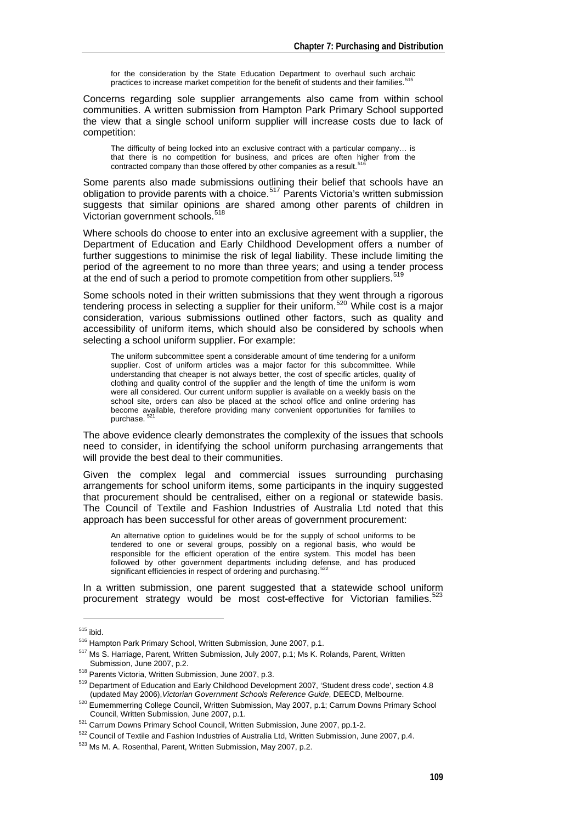for the consideration by the State Education Department to overhaul such archaic practices to increase market competition for the benefit of students and their families.<sup>5</sup>

Concerns regarding sole supplier arrangements also came from within school communities. A written submission from Hampton Park Primary School supported the view that a single school uniform supplier will increase costs due to lack of competition:

The difficulty of being locked into an exclusive contract with a particular company… is that there is no competition for business, and prices are often higher from the contracted company than those offered by other companies as a result.<sup>5</sup>

Some parents also made submissions outlining their belief that schools have an obligation to provide parents with a choice.<sup>[517](#page-8-2)</sup> Parents Victoria's written submission suggests that similar opinions are shared among other parents of children in Victorian government schools.<sup>[518](#page-8-3)</sup>

Where schools do choose to enter into an exclusive agreement with a supplier, the Department of Education and Early Childhood Development offers a number of further suggestions to minimise the risk of legal liability. These include limiting the period of the agreement to no more than three years; and using a tender process at the end of such a period to promote competition from other suppliers.<sup>[519](#page-8-4)</sup>

Some schools noted in their written submissions that they went through a rigorous tendering process in selecting a supplier for their uniform.[520](#page-8-5) While cost is a major consideration, various submissions outlined other factors, such as quality and accessibility of uniform items, which should also be considered by schools when selecting a school uniform supplier. For example:

The uniform subcommittee spent a considerable amount of time tendering for a uniform supplier. Cost of uniform articles was a major factor for this subcommittee. While understanding that cheaper is not always better, the cost of specific articles, quality of clothing and quality control of the supplier and the length of time the uniform is worn were all considered. Our current uniform supplier is available on a weekly basis on the school site, orders can also be placed at the school office and online ordering has become available, therefore providing many convenient opportunities for families to purchase.

The above evidence clearly demonstrates the complexity of the issues that schools need to consider, in identifying the school uniform purchasing arrangements that will provide the best deal to their communities.

Given the complex legal and commercial issues surrounding purchasing arrangements for school uniform items, some participants in the inquiry suggested that procurement should be centralised, either on a regional or statewide basis. The Council of Textile and Fashion Industries of Australia Ltd noted that this approach has been successful for other areas of government procurement:

An alternative option to guidelines would be for the supply of school uniforms to be tendered to one or several groups, possibly on a regional basis, who would be responsible for the efficient operation of the entire system. This model has been followed by other government departments including defense, and has produced significant efficiencies in respect of ordering and purchasing.

In a written submission, one parent suggested that a statewide school uniform procurement strategy would be most cost-effective for Victorian families.<sup>[523](#page-8-8)</sup>

<span id="page-8-1"></span><span id="page-8-0"></span><sup>&</sup>lt;sup>515</sup> ibid.<br><sup>516</sup> Hampton Park Primary School, Written Submission, June 2007, p.1.<br><sup>517</sup> Ms S. Harriage, Parent, Written Submission, July 2007, p.1; Ms K. Rolands, Parent, Written

<span id="page-8-3"></span><span id="page-8-2"></span>Submission, June 2007, p.2.<br><sup>518</sup> Parents Victoria, Written Submission, June 2007, p.3.<br><sup>519</sup> Department of Education and Early Childhood Development 2007, 'Student dress code', section 4.8<br>(updated May 2006). *Victorian G* 

<span id="page-8-4"></span><sup>&</sup>lt;sup>520</sup> Eumemmerring College Council, Written Submission, May 2007, p.1; Carrum Downs Primary School<br>Council, Written Submission, June 2007, p.1,

<span id="page-8-7"></span><span id="page-8-6"></span><span id="page-8-5"></span> $521$  Carrum Downs Primary School Council, Written Submission, June 2007, pp.1-2.<br> $522$  Council of Textile and Fashion Industries of Australia Ltd, Written Submission, June 2007, p.4.<br> $523$  Ms M. A. Rosenthal. Parent. Wri

<span id="page-8-8"></span>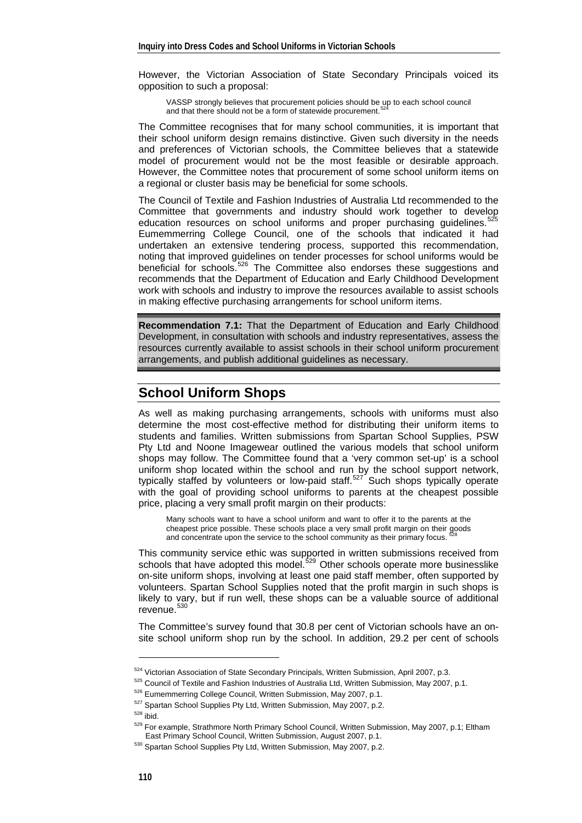However, the Victorian Association of State Secondary Principals voiced its opposition to such a proposal:

VASSP strongly believes that procurement policies should be up to each school council and that there should not be a form of statewide procurement.

The Committee recognises that for many school communities, it is important that their school uniform design remains distinctive. Given such diversity in the needs and preferences of Victorian schools, the Committee believes that a statewide model of procurement would not be the most feasible or desirable approach. However, the Committee notes that procurement of some school uniform items on a regional or cluster basis may be beneficial for some schools.

The Council of Textile and Fashion Industries of Australia Ltd recommended to the Committee that governments and industry should work together to develop education resources on school uniforms and proper purchasing guidelines.<sup>[525](#page-9-1)</sup> Eumemmerring College Council, one of the schools that indicated it had undertaken an extensive tendering process, supported this recommendation, noting that improved guidelines on tender processes for school uniforms would be beneficial for schools.<sup>[526](#page-9-2)</sup> The Committee also endorses these suggestions and recommends that the Department of Education and Early Childhood Development work with schools and industry to improve the resources available to assist schools in making effective purchasing arrangements for school uniform items.

**Recommendation 7.1:** That the Department of Education and Early Childhood Development, in consultation with schools and industry representatives, assess the resources currently available to assist schools in their school uniform procurement arrangements, and publish additional guidelines as necessary.

## **School Uniform Shops**

As well as making purchasing arrangements, schools with uniforms must also determine the most cost-effective method for distributing their uniform items to students and families. Written submissions from Spartan School Supplies, PSW Pty Ltd and Noone Imagewear outlined the various models that school uniform shops may follow. The Committee found that a 'very common set-up' is a school uniform shop located within the school and run by the school support network, typically staffed by volunteers or low-paid staff.<sup>[527](#page-9-3)</sup> Such shops typically operate with the goal of providing school uniforms to parents at the cheapest possible price, placing a very small profit margin on their products:

Many schools want to have a school uniform and want to offer it to the parents at the cheapest price possible. These schools place a very small profit margin on their goods and concentrate upon the service to the school community as their primary focus.

This community service ethic was supported in written submissions received from schools that have adopted this model.<sup>[529](#page-9-5)</sup> Other schools operate more businesslike on-site uniform shops, involving at least one paid staff member, often supported by volunteers. Spartan School Supplies noted that the profit margin in such shops is likely to vary, but if run well, these shops can be a valuable source of additional revenue.<sup>[530](#page-9-6)</sup>

The Committee's survey found that 30.8 per cent of Victorian schools have an onsite school uniform shop run by the school. In addition, 29.2 per cent of schools

<span id="page-9-2"></span>

<span id="page-9-3"></span>

<span id="page-9-4"></span>

<span id="page-9-1"></span><span id="page-9-0"></span><sup>&</sup>lt;sup>524</sup> Victorian Association of State Secondary Principals, Written Submission, April 2007, p.3.<br><sup>525</sup> Council of Textile and Fashion Industries of Australia Ltd, Written Submission, May 2007, p.1.<br><sup>526</sup> Eumemmerring Colle

<span id="page-9-6"></span><span id="page-9-5"></span><sup>530</sup> Spartan School Supplies Pty Ltd, Written Submission, May 2007, p.2.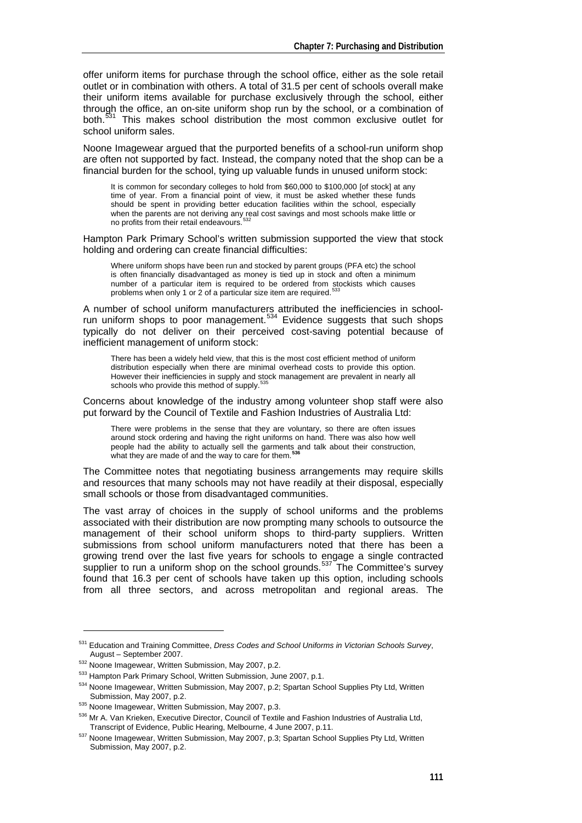offer uniform items for purchase through the school office, either as the sole retail outlet or in combination with others. A total of 31.5 per cent of schools overall make their uniform items available for purchase exclusively through the school, either through the office, an on-site uniform shop run by the school, or a combination of both.<sup>[531](#page-10-0)</sup> This makes school distribution the most common exclusive outlet for school uniform sales.

Noone Imagewear argued that the purported benefits of a school-run uniform shop are often not supported by fact. Instead, the company noted that the shop can be a financial burden for the school, tying up valuable funds in unused uniform stock:

It is common for secondary colleges to hold from \$60,000 to \$100,000 [of stock] at any time of year. From a financial point of view, it must be asked whether these funds should be spent in providing better education facilities within the school, especially when the parents are not deriving any real cost savings and most schools make little or<br>no profits from their retail endeavours.<sup>[532](#page-10-1)</sup>

Hampton Park Primary School's written submission supported the view that stock holding and ordering can create financial difficulties:

Where uniform shops have been run and stocked by parent groups (PFA etc) the school is often financially disadvantaged as money is tied up in stock and often a minimum number of a particular item is required to be ordered from stockists which causes problems when only 1 or 2 of a particular size item are required.<sup>53</sup>

A number of school uniform manufacturers attributed the inefficiencies in school-run uniform shops to poor management.<sup>[534](#page-10-3)</sup> Evidence suggests that such shops typically do not deliver on their perceived cost-saving potential because of inefficient management of uniform stock:

There has been a widely held view, that this is the most cost efficient method of uniform distribution especially when there are minimal overhead costs to provide this option. However their inefficiencies in supply and stock management are prevalent in nearly all schools who provide this method of supply.

Concerns about knowledge of the industry among volunteer shop staff were also put forward by the Council of Textile and Fashion Industries of Australia Ltd:

There were problems in the sense that they are voluntary, so there are often issues around stock ordering and having the right uniforms on hand. There was also how well people had the ability to actually sell the garments and talk about their construction, what they are made of and the way to care for them.**[536](#page-10-5)**

The Committee notes that negotiating business arrangements may require skills and resources that many schools may not have readily at their disposal, especially small schools or those from disadvantaged communities.

The vast array of choices in the supply of school uniforms and the problems associated with their distribution are now prompting many schools to outsource the management of their school uniform shops to third-party suppliers. Written submissions from school uniform manufacturers noted that there has been a growing trend over the last five years for schools to engage a single contracted supplier to run a uniform shop on the school grounds.<sup>[537](#page-10-6)</sup> The Committee's survey found that 16.3 per cent of schools have taken up this option, including schools from all three sectors, and across metropolitan and regional areas. The

<span id="page-10-0"></span><sup>531</sup> Education and Training Committee, *Dress Codes and School Uniforms in Victorian Schools Survey*, August – September 2007.<br>
532 Noone Imagewear, Written Submission, May 2007, p.2.<br>
533 Hampton Park Primary School, Written Submission, June 2007, p.1.<br>
534 Noone Imagewear, Written Submission, May 2007, p.2; Spartan Schoo

<span id="page-10-1"></span>

<span id="page-10-2"></span>

<span id="page-10-4"></span>

<span id="page-10-3"></span>Submission, May 2007, p.2.<br>
535 Noone Imagewear, Written Submission, May 2007, p.3.<br>
536 Mr A. Van Krieken, Executive Director, Council of Textile and Fashion Industries of Australia Ltd,<br>
Transcript of Evidence, Public He

<span id="page-10-6"></span><span id="page-10-5"></span><sup>537</sup> Noone Imagewear, Written Submission, May 2007, p.3; Spartan School Supplies Pty Ltd, Written Submission, May 2007, p.2.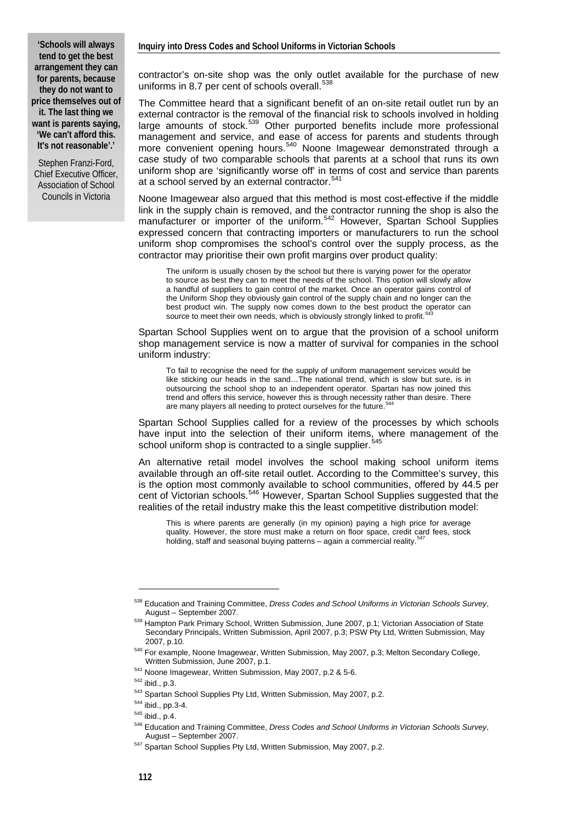Stephen Franzi-Ford, Chief Executive Officer, Association of School Councils in Victoria

contractor's on-site shop was the only outlet available for the purchase of new uniforms in 8.7 per cent of schools overall.<sup>[538](#page-11-0)</sup>

The Committee heard that a significant benefit of an on-site retail outlet run by an external contractor is the removal of the financial risk to schools involved in holding large amounts of stock.<sup>[539](#page-11-1)</sup> Other purported benefits include more professional management and service, and ease of access for parents and students through more convenient opening hours.<sup>[540](#page-11-2)</sup> Noone Imagewear demonstrated through a case study of two comparable schools that parents at a school that runs its own uniform shop are 'significantly worse off' in terms of cost and service than parents at a school served by an external contractor.<sup>[541](#page-11-3)</sup>

Noone Imagewear also argued that this method is most cost-effective if the middle link in the supply chain is removed, and the contractor running the shop is also the manufacturer or importer of the uniform.<sup>[542](#page-11-4)</sup> However, Spartan School Supplies expressed concern that contracting importers or manufacturers to run the school uniform shop compromises the school's control over the supply process, as the contractor may prioritise their own profit margins over product quality:

The uniform is usually chosen by the school but there is varying power for the operator to source as best they can to meet the needs of the school. This option will slowly allow a handful of suppliers to gain control of the market. Once an operator gains control of the Uniform Shop they obviously gain control of the supply chain and no longer can the best product win. The supply now comes down to the best product the operator can source to meet their own needs, which is obviously strongly linked to profit.<sup>[543](#page-11-5)</sup>

Spartan School Supplies went on to argue that the provision of a school uniform shop management service is now a matter of survival for companies in the school uniform industry:

To fail to recognise the need for the supply of uniform management services would be like sticking our heads in the sand…The national trend, which is slow but sure, is in outsourcing the school shop to an independent operator. Spartan has now joined this trend and offers this service, however this is through necessity rather than desire. There are many players all needing to protect ourselves for the future.

Spartan School Supplies called for a review of the processes by which schools have input into the selection of their uniform items, where management of the school uniform shop is contracted to a single supplier.

An alternative retail model involves the school making school uniform items available through an off-site retail outlet. According to the Committee's survey, this is the option most commonly available to school communities, offered by 44.5 per cent of Victorian schools.<sup>[546](#page-11-8)</sup> However, Spartan School Supplies suggested that the realities of the retail industry make this the least competitive distribution model:

This is where parents are generally (in my opinion) paying a high price for average quality. However, the store must make a return on floor space, credit card fees, stock holding, staff and seasonal buying patterns – again a commercial reality.<sup>[547](#page-11-9)</sup>

<span id="page-11-0"></span><sup>538</sup> Education and Training Committee, *Dress Codes and School Uniforms in Victorian Schools Survey*,

<span id="page-11-1"></span>August – September 2007.<br><sup>539</sup> Hampton Park Primary School, Written Submission, June 2007, p.1; Victorian Association of State Secondary Principals, Written Submission, April 2007, p.3; PSW Pty Ltd, Written Submission, May

<sup>2007,</sup> p.10.<br><sup>540</sup> For example, Noone Imagewear, Written Submission, May 2007, p.3; Melton Secondary College,<br>Written Submission. June 2007. p.1.

<span id="page-11-5"></span>

<span id="page-11-8"></span><span id="page-11-7"></span><span id="page-11-6"></span>

<span id="page-11-4"></span><span id="page-11-3"></span><span id="page-11-2"></span><sup>&</sup>lt;sup>541</sup> Noone Imagewear, Written Submission, May 2007, p.2 & 5-6.<br><sup>542</sup> ibid., p.3.<br><sup>543</sup> Spartan School Supplies Pty Ltd, Written Submission, May 2007, p.2.<br><sup>544</sup> ibid., pp.3-4.<br><sup>545</sup> ibid., p.4.<br><sup>546</sup> Education and Traini August – September 2007.<br>
<sup>547</sup> Spartan School Supplies Pty Ltd, Written Submission, May 2007, p.2.

<span id="page-11-9"></span>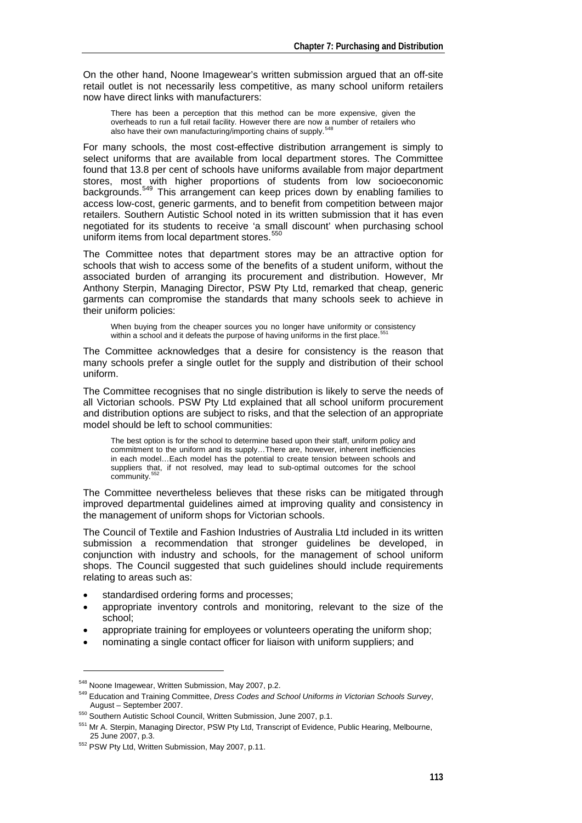On the other hand, Noone Imagewear's written submission argued that an off-site retail outlet is not necessarily less competitive, as many school uniform retailers now have direct links with manufacturers:

There has been a perception that this method can be more expensive, given the overheads to run a full retail facility. However there are now a number of retailers who also have their own manufacturing/importing chains of supply.<sup>5</sup>

For many schools, the most cost-effective distribution arrangement is simply to select uniforms that are available from local department stores. The Committee found that 13.8 per cent of schools have uniforms available from major department stores, most with higher proportions of students from low socioeconomic backgrounds.<sup>[549](#page-12-1)</sup> This arrangement can keep prices down by enabling families to access low-cost, generic garments, and to benefit from competition between major retailers. Southern Autistic School noted in its written submission that it has even negotiated for its students to receive 'a small discount' when purchasing school uniform items from local department stores.<sup>[550](#page-12-2)</sup>

The Committee notes that department stores may be an attractive option for schools that wish to access some of the benefits of a student uniform, without the associated burden of arranging its procurement and distribution. However, Mr Anthony Sterpin, Managing Director, PSW Pty Ltd, remarked that cheap, generic garments can compromise the standards that many schools seek to achieve in their uniform policies:

When buying from the cheaper sources you no longer have uniformity or consistency within a school and it defeats the purpose of having uniforms in the first place.<sup>5</sup>

The Committee acknowledges that a desire for consistency is the reason that many schools prefer a single outlet for the supply and distribution of their school uniform.

The Committee recognises that no single distribution is likely to serve the needs of all Victorian schools. PSW Pty Ltd explained that all school uniform procurement and distribution options are subject to risks, and that the selection of an appropriate model should be left to school communities:

The best option is for the school to determine based upon their staff, uniform policy and commitment to the uniform and its supply…There are, however, inherent inefficiencies in each model…Each model has the potential to create tension between schools and suppliers that, if not resolved, may lead to sub-optimal outcomes for the school community.<sup>55</sup>

The Committee nevertheless believes that these risks can be mitigated through improved departmental guidelines aimed at improving quality and consistency in the management of uniform shops for Victorian schools.

The Council of Textile and Fashion Industries of Australia Ltd included in its written submission a recommendation that stronger guidelines be developed, in conjunction with industry and schools, for the management of school uniform shops. The Council suggested that such guidelines should include requirements relating to areas such as:

- standardised ordering forms and processes;
- appropriate inventory controls and monitoring, relevant to the size of the school;
- appropriate training for employees or volunteers operating the uniform shop;
- nominating a single contact officer for liaison with uniform suppliers; and

<span id="page-12-0"></span><sup>&</sup>lt;sup>548</sup> Noone Imagewear, Written Submission, May 2007, p.2.<br><sup>549</sup> Education and Training Committee, *Dress Codes and School Uniforms in Victorian Schools Survey*,

<span id="page-12-2"></span><span id="page-12-1"></span>August – September 2007.<br>
550 Southern Autistic School Council, Written Submission, June 2007, p.1.<br>
551 Mr A. Sterpin, Managing Director, PSW Pty Ltd, Transcript of Evidence, Public Hearing, Melbourne,<br>
25 June 2007. p.3.

<span id="page-12-4"></span><span id="page-12-3"></span><sup>&</sup>lt;sup>552</sup> PSW Pty Ltd, Written Submission, May 2007, p.11.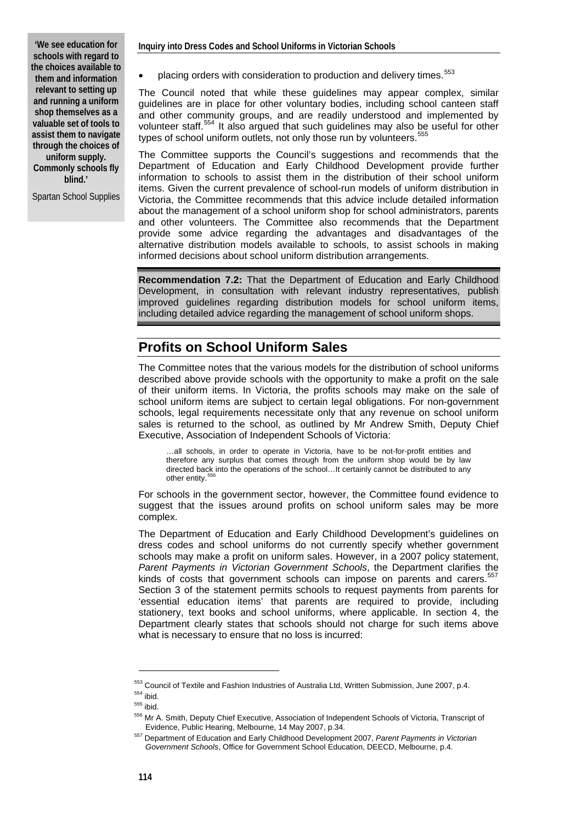**'We see education for schools with regard to the choices available to them and information relevant to setting up and running a uniform shop themselves as a valuable set of tools to assist them to navigate through the choices of uniform supply.** 

**Commonly schools fly blind.'** 

Spartan School Supplies

placing orders with consideration to production and delivery times.<sup>[553](#page-13-0)</sup>

The Council noted that while these guidelines may appear complex, similar guidelines are in place for other voluntary bodies, including school canteen staff and other community groups, and are readily understood and implemented by volunteer staff.[554](#page-13-1) It also argued that such guidelines may also be useful for other types of school uniform outlets, not only those run by volunteers.<sup>[555](#page-13-2)</sup>

The Committee supports the Council's suggestions and recommends that the Department of Education and Early Childhood Development provide further information to schools to assist them in the distribution of their school uniform items. Given the current prevalence of school-run models of uniform distribution in Victoria, the Committee recommends that this advice include detailed information about the management of a school uniform shop for school administrators, parents and other volunteers. The Committee also recommends that the Department provide some advice regarding the advantages and disadvantages of the alternative distribution models available to schools, to assist schools in making informed decisions about school uniform distribution arrangements.

**Recommendation 7.2:** That the Department of Education and Early Childhood Development, in consultation with relevant industry representatives, publish improved guidelines regarding distribution models for school uniform items, including detailed advice regarding the management of school uniform shops.

## **Profits on School Uniform Sales**

The Committee notes that the various models for the distribution of school uniforms described above provide schools with the opportunity to make a profit on the sale of their uniform items. In Victoria, the profits schools may make on the sale of school uniform items are subject to certain legal obligations. For non-government schools, legal requirements necessitate only that any revenue on school uniform sales is returned to the school, as outlined by Mr Andrew Smith, Deputy Chief Executive, Association of Independent Schools of Victoria:

…all schools, in order to operate in Victoria, have to be not-for-profit entities and therefore any surplus that comes through from the uniform shop would be by law directed back into the operations of the school…It certainly cannot be distributed to any other entity.<sup>5</sup>

For schools in the government sector, however, the Committee found evidence to suggest that the issues around profits on school uniform sales may be more complex.

The Department of Education and Early Childhood Development's guidelines on dress codes and school uniforms do not currently specify whether government schools may make a profit on uniform sales. However, in a 2007 policy statement, *Parent Payments in Victorian Government Schools*, the Department clarifies the kinds of costs that government schools can impose on parents and carers.<sup>[557](#page-13-4)</sup> Section 3 of the statement permits schools to request payments from parents for 'essential education items' that parents are required to provide, including stationery, text books and school uniforms, where applicable. In section 4, the Department clearly states that schools should not charge for such items above what is necessary to ensure that no loss is incurred:

<span id="page-13-0"></span>

<span id="page-13-3"></span><span id="page-13-2"></span><span id="page-13-1"></span>

<sup>&</sup>lt;sup>553</sup> Council of Textile and Fashion Industries of Australia Ltd, Written Submission, June 2007, p.4.<br>
<sup>554</sup> ibid.<br>
<sup>555</sup> ibid.<br>
<sup>555</sup> Mr A. Smith, Deputy Chief Executive, Association of Independent Schools of Victoria, T

<span id="page-13-4"></span><sup>&</sup>lt;sup>557</sup> Department of Education and Early Childhood Development 2007, Parent Payments in Victorian *Government Schools*, Office for Government School Education, DEECD, Melbourne, p.4.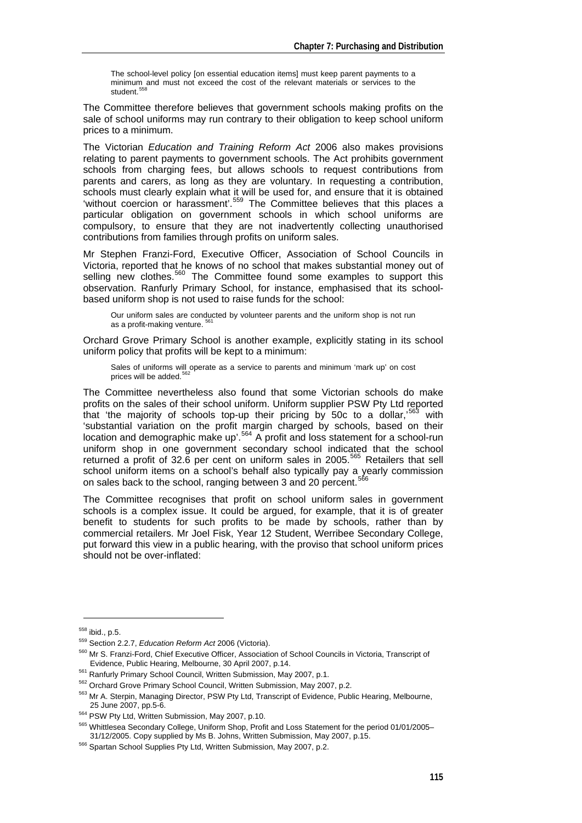The school-level policy [on essential education items] must keep parent payments to a minimum and must not exceed the cost of the relevant materials or services to the student.<sup>[558](#page-14-0)</sup>

The Committee therefore believes that government schools making profits on the sale of school uniforms may run contrary to their obligation to keep school uniform prices to a minimum.

The Victorian *Education and Training Reform Act* 2006 also makes provisions relating to parent payments to government schools. The Act prohibits government schools from charging fees, but allows schools to request contributions from parents and carers, as long as they are voluntary. In requesting a contribution, schools must clearly explain what it will be used for, and ensure that it is obtained 'without coercion or harassment'.<sup>[559](#page-14-1)</sup> The Committee believes that this places a particular obligation on government schools in which school uniforms are compulsory, to ensure that they are not inadvertently collecting unauthorised contributions from families through profits on uniform sales.

Mr Stephen Franzi-Ford, Executive Officer, Association of School Councils in Victoria, reported that he knows of no school that makes substantial money out of selling new clothes.<sup>[560](#page-14-2)</sup> The Committee found some examples to support this observation. Ranfurly Primary School, for instance, emphasised that its schoolbased uniform shop is not used to raise funds for the school:

Our uniform sales are conducted by volunteer parents and the uniform shop is not run as a profit-making venture.<sup>5</sup>

Orchard Grove Primary School is another example, explicitly stating in its school uniform policy that profits will be kept to a minimum:

Sales of uniforms will operate as a service to parents and minimum 'mark up' on cost prices will be added.<sup>56</sup>

The Committee nevertheless also found that some Victorian schools do make profits on the sales of their school uniform. Uniform supplier PSW Pty Ltd reported that 'the majority of schools top-up their pricing by 50c to a dollar,<sup>[563](#page-14-5)</sup> with 'substantial variation on the profit margin charged by schools, based on their location and demographic make up'.<sup>[564](#page-14-6)</sup> A profit and loss statement for a school-run uniform shop in one government secondary school indicated that the school returned a profit of 32.6 per cent on uniform sales in 2005.<sup>[565](#page-14-7)</sup> Retailers that sell school uniform items on a school's behalf also typically pay a yearly commission on sales back to the school, ranging between 3 and 20 percent.

The Committee recognises that profit on school uniform sales in government schools is a complex issue. It could be argued, for example, that it is of greater benefit to students for such profits to be made by schools, rather than by commercial retailers. Mr Joel Fisk, Year 12 Student, Werribee Secondary College, put forward this view in a public hearing, with the proviso that school uniform prices should not be over-inflated:

<span id="page-14-1"></span><span id="page-14-0"></span><sup>&</sup>lt;sup>558</sup> ibid., p.5.<br><sup>559</sup> Section 2.2.7, *Education Reform Act* 2006 (Victoria).<br><sup>560</sup> Mr S. Franzi-Ford, Chief Executive Officer, Association of School Councils in Victoria, Transcript of

<span id="page-14-4"></span>

<span id="page-14-3"></span><span id="page-14-2"></span>Evidence, Public Hearing, Melbourne, 30 April 2007, p.14.<br>
<sup>561</sup> Ranfurly Primary School Council, Written Submission, May 2007, p.1.<br>
<sup>562</sup> Orchard Grove Primary School Council, Written Submission, May 2007, p.2.<br>
<sup>563</sup> Mr

<span id="page-14-7"></span><span id="page-14-6"></span><span id="page-14-5"></span><sup>&</sup>lt;sup>564</sup> PSW Pty Ltd, Written Submission, May 2007, p.10.<br><sup>565</sup> Whittlesea Secondary College, Uniform Shop, Profit and Loss Statement for the period 01/01/2005–<br>31/12/2005. Copy supplied by Ms B. Johns, Written Submission, Ma

<span id="page-14-8"></span><sup>&</sup>lt;sup>566</sup> Spartan School Supplies Pty Ltd, Written Submission, May 2007, p.2.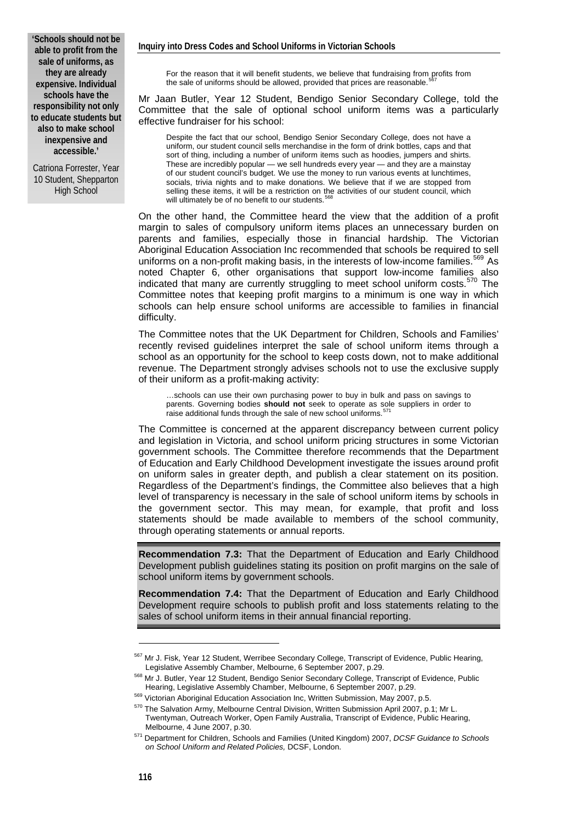**'Schools should not be able to profit from the sale of uniforms, as they are already expensive. Individual schools have the responsibility not only to educate students but also to make school inexpensive and accessible.'** 

Catriona Forrester, Year 10 Student, Shepparton High School

For the reason that it will benefit students, we believe that fundraising from profits from the sale of uniforms should be allowed, provided that prices are reasonable.

Mr Jaan Butler, Year 12 Student, Bendigo Senior Secondary College, told the Committee that the sale of optional school uniform items was a particularly effective fundraiser for his school:

Despite the fact that our school, Bendigo Senior Secondary College, does not have a uniform, our student council sells merchandise in the form of drink bottles, caps and that sort of thing, including a number of uniform items such as hoodies, jumpers and shirts. These are incredibly popular — we sell hundreds every year — and they are a mainstay of our student council's budget. We use the money to run various events at lunchtimes, socials, trivia nights and to make donations. We believe that if we are stopped from selling these items, it will be a restriction on the activities of our student council, which will ultimately be of no benefit to our students.

On the other hand, the Committee heard the view that the addition of a profit margin to sales of compulsory uniform items places an unnecessary burden on parents and families, especially those in financial hardship. The Victorian Aboriginal Education Association Inc recommended that schools be required to sell uniforms on a non-profit making basis, in the interests of low-income families.<sup>[569](#page-15-2)</sup> As noted Chapter 6, other organisations that support low-income families also indicated that many are currently struggling to meet school uniform costs.<sup>[570](#page-15-3)</sup> The Committee notes that keeping profit margins to a minimum is one way in which schools can help ensure school uniforms are accessible to families in financial difficulty.

The Committee notes that the UK Department for Children, Schools and Families' recently revised guidelines interpret the sale of school uniform items through a school as an opportunity for the school to keep costs down, not to make additional revenue. The Department strongly advises schools not to use the exclusive supply of their uniform as a profit-making activity:

…schools can use their own purchasing power to buy in bulk and pass on savings to parents. Governing bodies **should not** seek to operate as sole suppliers in order to raise additional funds through the sale of new school uniforms.

The Committee is concerned at the apparent discrepancy between current policy and legislation in Victoria, and school uniform pricing structures in some Victorian government schools. The Committee therefore recommends that the Department of Education and Early Childhood Development investigate the issues around profit on uniform sales in greater depth, and publish a clear statement on its position. Regardless of the Department's findings, the Committee also believes that a high level of transparency is necessary in the sale of school uniform items by schools in the government sector. This may mean, for example, that profit and loss statements should be made available to members of the school community, through operating statements or annual reports.

**Recommendation 7.3:** That the Department of Education and Early Childhood Development publish guidelines stating its position on profit margins on the sale of school uniform items by government schools.

**Recommendation 7.4:** That the Department of Education and Early Childhood Development require schools to publish profit and loss statements relating to the sales of school uniform items in their annual financial reporting.

<span id="page-15-0"></span> $567$  Mr J. Fisk, Year 12 Student, Werribee Secondary College, Transcript of Evidence, Public Hearing, Legislative Assembly Chamber, Melbourne, 6 September 2007, p.29.

<span id="page-15-1"></span><sup>568</sup> Mr J. Butler, Year 12 Student, Bendigo Senior Secondary College, Transcript of Evidence, Public

<span id="page-15-2"></span>Hearing, Legislative Assembly Chamber, Melbourne, 6 September 2007, p.29.<br><sup>569</sup> Victorian Aboriginal Education Association Inc, Written Submission, May 2007, p.5.<br><sup>570</sup> The Salvation Armv. Melbourne Central Division, Writt Twentyman, Outreach Worker, Open Family Australia, Transcript of Evidence, Public Hearing,

<span id="page-15-4"></span><span id="page-15-3"></span>Melbourne, 4 June 2007, p.30. 571 Department for Children, Schools and Families (United Kingdom) 2007, *DCSF Guidance to Schools on School Uniform and Related Policies,* DCSF, London.